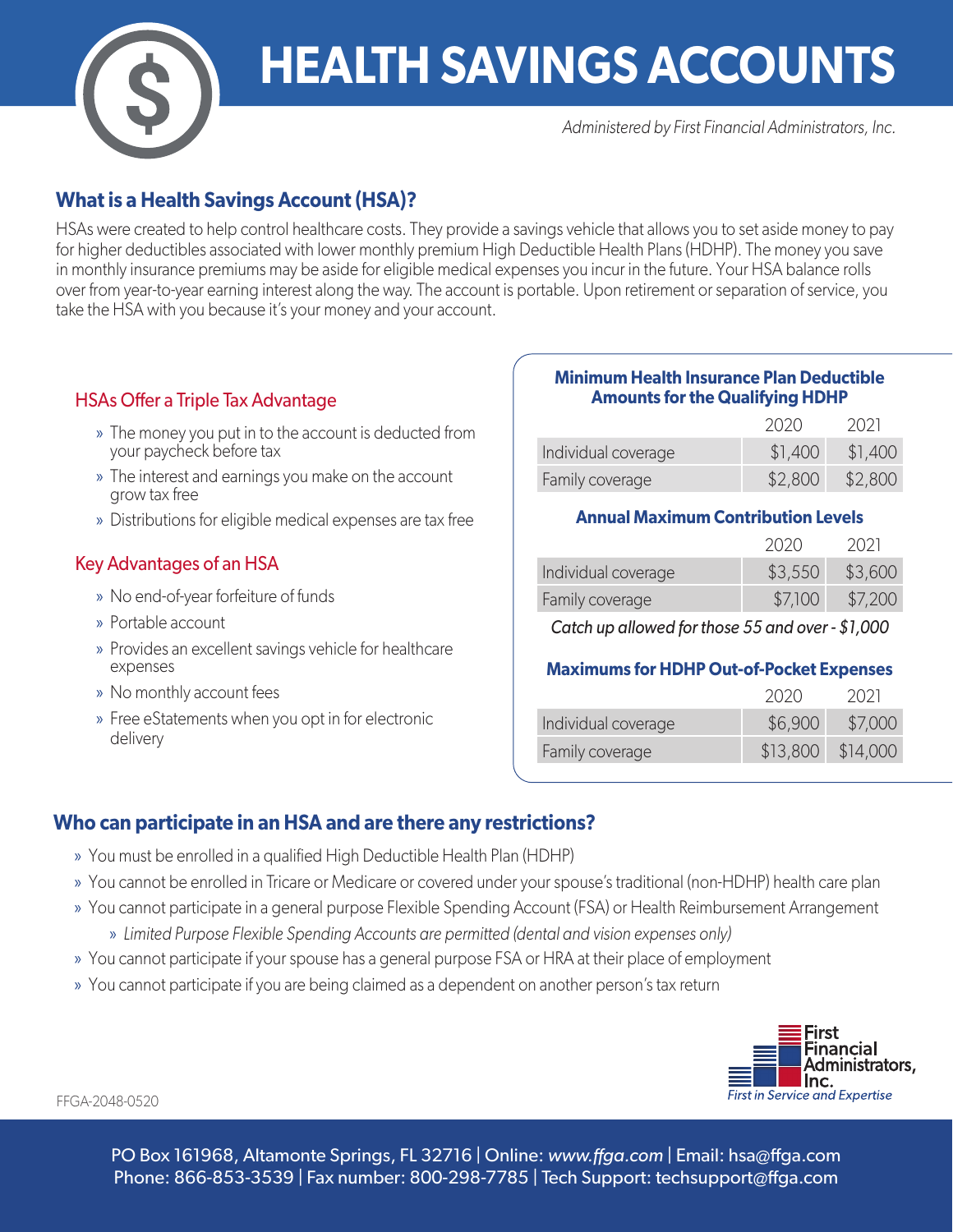

## **HEALTH SAVINGS ACCOUNTS**

*Administered by First Financial Administrators, Inc.*

#### **What is a Health Savings Account (HSA)?**

HSAs were created to help control healthcare costs. They provide a savings vehicle that allows you to set aside money to pay for higher deductibles associated with lower monthly premium High Deductible Health Plans (HDHP). The money you save in monthly insurance premiums may be aside for eligible medical expenses you incur in the future. Your HSA balance rolls over from year-to-year earning interest along the way. The account is portable. Upon retirement or separation of service, you take the HSA with you because it's your money and your account.

#### HSAs Offer a Triple Tax Advantage

- » The money you put in to the account is deducted from your paycheck before tax
- » The interest and earnings you make on the account grow tax free
- » Distributions for eligible medical expenses are tax free

#### Key Advantages of an HSA

- » No end-of-year forfeiture of funds
- » Portable account
- » Provides an excellent savings vehicle for healthcare expenses
- » No monthly account fees
- » Free eStatements when you opt in for electronic delivery

#### **Minimum Health Insurance Plan Deductible Amounts for the Qualifying HDHP**

|                     | 2020    | 2021    |
|---------------------|---------|---------|
| Individual coverage | \$1,400 | \$1,400 |
| Family coverage     | \$2,800 | \$2,800 |

#### **Annual Maximum Contribution Levels**

|                     | 2020    | 2021    |
|---------------------|---------|---------|
| Individual coverage | \$3,550 | \$3,600 |
| Family coverage     | \$7,100 | \$7,200 |
|                     |         |         |

*Catch up allowed for those 55 and over - \$1,000* 

#### **Maximums for HDHP Out-of-Pocket Expenses**

|                     | 2020    | 2021                |
|---------------------|---------|---------------------|
| Individual coverage | \$6,900 | \$7,000             |
| Family coverage     |         | $$13,800$ $$14,000$ |

#### **Who can participate in an HSA and are there any restrictions?**

- » You must be enrolled in a qualified High Deductible Health Plan (HDHP)
- » You cannot be enrolled in Tricare or Medicare or covered under your spouse's traditional (non-HDHP) health care plan
- » You cannot participate in a general purpose Flexible Spending Account (FSA) or Health Reimbursement Arrangement
	- » *Limited Purpose Flexible Spending Accounts are permitted (dental and vision expenses only)*
- » You cannot participate if your spouse has a general purpose FSA or HRA at their place of employment
- » You cannot participate if you are being claimed as a dependent on another person's tax return



FFGA-2048-0520